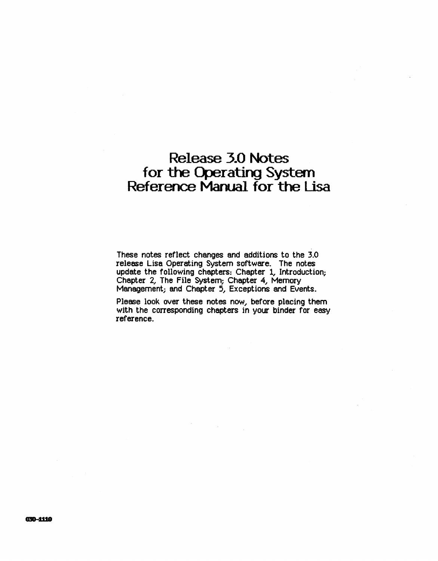# Release 3.0 Notes for the Operating System Reference Manual for the Lisa

These notes reflect changes and additions to the 3.0 release Lisa Operating System software. The notes update the following chapters: Chapter 1, Introduction; Chapter 2, The File System; Chapter 4, Memory Management; and Chapter 5, Exceptions and Events.

Please look over these notes now, before placing them with the corresponding chapters in your binder for easy reference.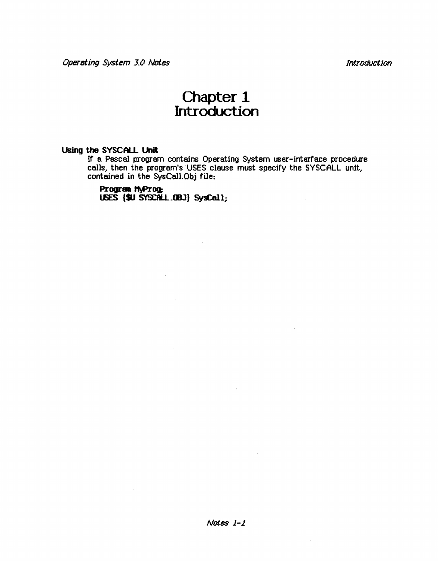Introduction

# Chapter<sub>1</sub> Introduction

## Using the SYSCALL Unit

If a Pascal program contains Operating System user-interface procedure calls, then the program's USES clause must specify the SYSCALL unit, contained in the SysCall.Obj file:

Program MyProg; USES {\$U SYSCALL.OBJ} SysCall;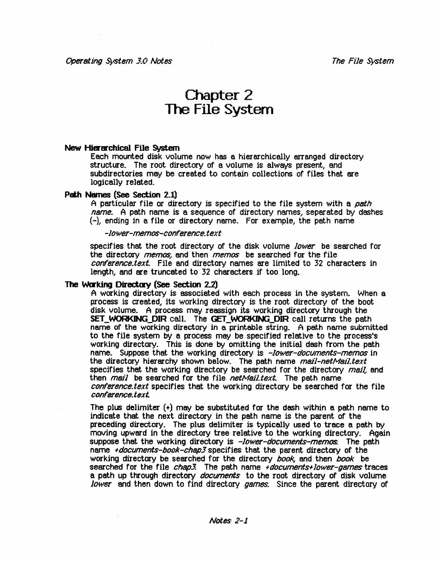# Chapter 2 The File System

#### New Hierarchical File System

Each mounted disk volume now has a hierarchically arranged directory structure. The root directory of a volume is always present, and subdirectories may be created to contain collections of files that are logically related.

#### Path Names (See Section 2.1)

A particular file or directory is specified to the file system with a path name. A path name is a sequence of directory names, separated by dashes (-), ending in a file or directory name. For example, the path name

-Jower-memos-conference.text

specifies that the root directory of the disk volume lower be searched for the directory *memos*, and then *memos* be searched for the file conference.text. File and directory names are limited to 32 characters in length, and are truncated to 32 characters if too long.

#### The Warking Directary (See Section 2.2)

A working directory is associated with each process in the system. When a process is created, its working directory is the root directory of the boot disk volume. A process may reassign its working directory through the SET\_WORKING\_DIR call. The GET\_WORKING\_DIR call returns the path name of the working directory in a printable string. A path name submitted to the file system by a process may be specified relative to the process's working directory. This is done by omitting the initial dash from the path name. Suppose that the working directory is -lower-documents-memos in the directory hierarchy shown below. The path name mail-netMail.text specifies that the working directory be searched for the directory  $maj$ . and then  $mail$  be searched for the file netMailtext. The path name conference.text specifies that the working directory be searched for the file conference.text..

The plus delimiter  $(+)$  may be substituted for the dash within a path name to indicate that the next directory in the path name is the parent of the preceding directory. The plus delimiter is typically used to trace a path by moving upward in the directory tree relative to the working directory. Again suppose that the working directory is -lower-documents-memos. The path name +documents-book-chap3 specifies that the parent directory of the working directory be searched for the directory book, and then book be searched for the file chap3. The path name +documents+lower-games traces a path up through directory documents to the root directory of disk volume lower and then down to find directory games. Since the parent directory of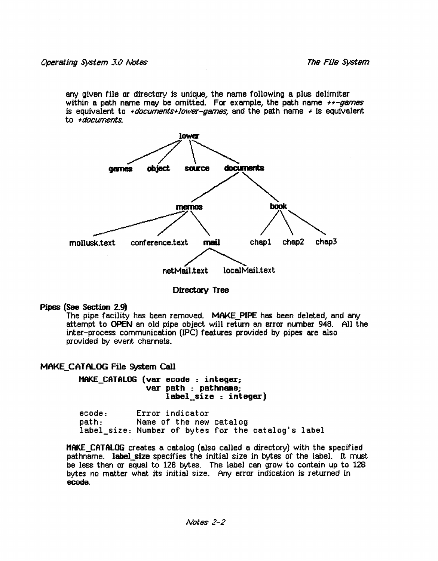any given file or directory is unique, the name following a plus delimiter within a path name may be omitted. For example, the path name  $+1-games$ is equivalent to +documents+lower-games, and the path name + is equivalent to +documents..



Directory Tree

### Pipes (See Section 2\_9)

The pipe facility has been removed. MAKE PIPE has been deleted, and any attempt to OPEN an old pipe object will retla'n an error number 948.. All the inter-process communication (IPC) features provided by pipes are also provided by event channels.

## MAKE\_CATALOG File System Call

MAKE\_CATALOG (ver ecode : integer; label size : integer)

ecode: Error indicator<br>path: Name of the new Name of the new catalog label size: Number of bytes for the catalog's label

HAKE\_CATALOG creates a catalog (also called a directory) with the specified pathname. label\_size specifies the initial size in bytes of the label. It must be less than or equal to 128 bytes.. The label can grow to contain up to 128 bytes no matter what its initial size.. Any error indication is returned in ecode.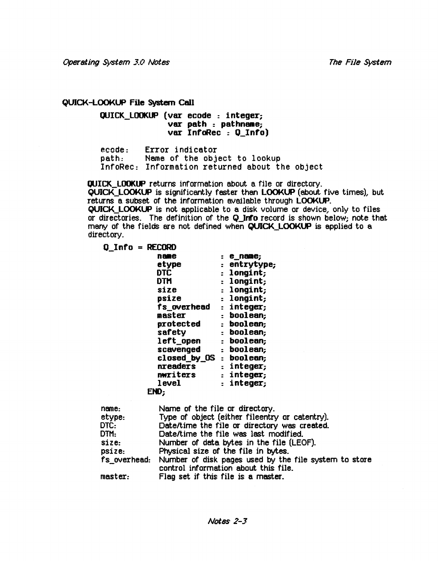The File System

### QUICK-LOOKUP File system Call

QUICK\_LOOKUP (var ecode : integer; var path : pathname; var InfoRec : 0 Info)

ecode: Error indicator<br>path: Name of the obje Name of the object to lookup InfoRec: Information returned about the object

QUICK\_LOOKUP returns information about a file or directory. QUICK\_L()()I(lJP is significantly faster than LOOKLP (about five times), but returns a subset of the information available through LOOKUP. QUICK\_LOOKUP is not applicable to a disk volume or device, only to files or directories. The definition of the Q\_Inf'o record is shown below; note that many of the fields are not defined when QUICK LOOKUP is applied to a directory.

| <b>Q Info = RECORD</b> |                         |              |
|------------------------|-------------------------|--------------|
|                        | name                    | : e_name;    |
|                        | etype                   | : entrytype; |
|                        | DTC                     | : longint;   |
|                        | <b>DTM</b>              | : longint;   |
|                        | size                    | : longint;   |
|                        | psize                   | : longint;   |
|                        | fs overhead             | : integer;   |
|                        | master                  | : boolean;   |
|                        | protected               | : boolean:   |
|                        | safety                  | : boolean;   |
|                        | left_open               | : boolean;   |
|                        | scavenged               | : boolean;   |
|                        | closed by OS : boolean; |              |
|                        | nreaders                | : integer;   |
|                        | nwriters                | : integer;   |
|                        | level                   | : integer;   |
|                        | END:                    |              |

| name:   | Name of the file or directory.                                                                             |
|---------|------------------------------------------------------------------------------------------------------------|
| etype:  | Type of object (either fileentry or catentry).                                                             |
| DTC:    | Date/time the file or directory was created.                                                               |
| DTM:    | Date/time the file was last modified.                                                                      |
| size:   | Number of data bytes in the file (LEOF).                                                                   |
| psize:  | Physical size of the file in bytes.                                                                        |
|         | fs_overhead: Number of disk pages used by the file system to store<br>control information about this file. |
| master: | Flag set if this file is a master.                                                                         |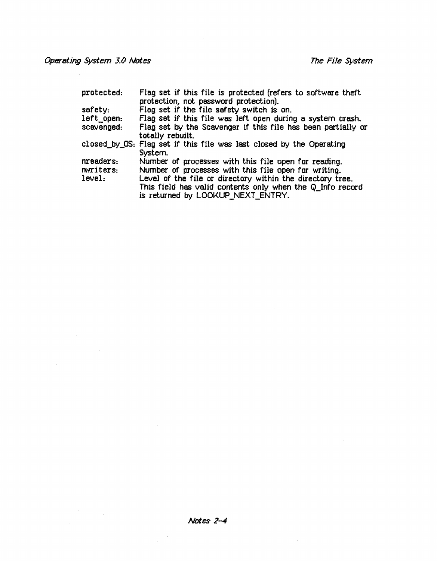# Operating System 3.0 Notes The File System The File System

 $\mathcal{L}^{\text{max}}_{\text{max}}$  and  $\mathcal{L}^{\text{max}}_{\text{max}}$ 

| protected: | Flag set if this file is protected (refers to software theft<br>protection, not password protection). |
|------------|-------------------------------------------------------------------------------------------------------|
| $s$ afety: | Flag set if the file safety switch is on.                                                             |
| left open: | Flag set if this file was left open during a system crash.                                            |
| scavenged: | Flag set by the Scavenger if this file has been partially or                                          |
|            | totally rebuilt.                                                                                      |
|            | closed by OS: Flag set if this file was last closed by the Operating                                  |
|            | System.                                                                                               |
| nreaders.  | Number of processes with this file open for reading.                                                  |
| nwriters:  | Number of processes with this file open for writing.                                                  |
| level:     | Level of the file or directory within the directory tree.                                             |
|            | This field has valid contents only when the Q_Info record                                             |
|            | is returned by LOOKUP_NEXT_ENTRY.                                                                     |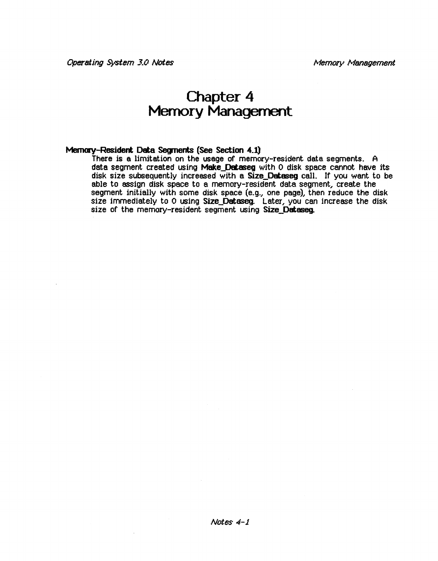# Chapter 4 Memory Management

### Mernory-Resident Data Segments (See Section 4.1)

There is a limitation on the usage of memory-resident data segments. A data segment created using Make\_Dataseg with 0 disk space cannot have its disk size subsequently increased with a Size\_Dataseg call. If you want to be able to assign disk space to a memory-resident data segment, create the segment initially with some disk space (e.g., one page), then reduce the disk size immediately to 0 using Size\_Dataseg. Later, you can increase the disk size of the memory-resident segment using Size Dataseq.